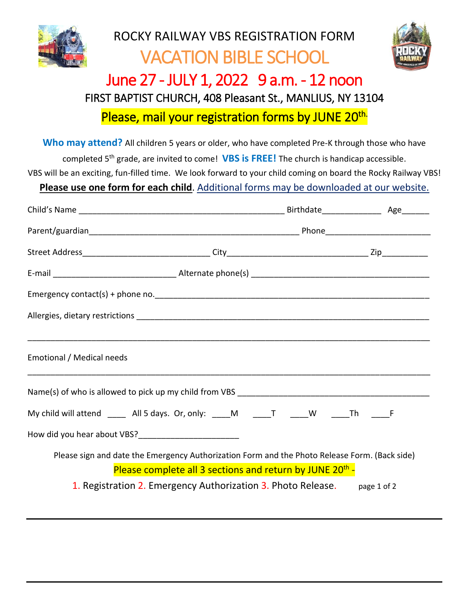

### ROCKY RAILWAY VBS REGISTRATION FORM VACATION BIBLE SCHOOL



## June 27 - JULY 1, 2022 9 a.m. - 12 noon FIRST BAPTIST CHURCH, 408 Pleasant St., MANLIUS, NY 13104

Please, mail your registration forms by JUNE 20<sup>th.</sup>

Who may attend? All children 5 years or older, who have completed Pre-K through those who have

completed 5th grade, are invited to come! **VBS is FREE!** The church is handicap accessible.

VBS will be an exciting, fun-filled time. We look forward to your child coming on board the Rocky Railway VBS!

**Please use one form for each child**. Additional forms may be downloaded at our website.

| Emotional / Medical needs                                                              |                                                                                               |  |
|----------------------------------------------------------------------------------------|-----------------------------------------------------------------------------------------------|--|
|                                                                                        |                                                                                               |  |
| My child will attend _______ All 5 days. Or, only: _____M _____T _____W _____Th _____F |                                                                                               |  |
|                                                                                        |                                                                                               |  |
|                                                                                        | Please sign and date the Emergency Authorization Form and the Photo Release Form. (Back side) |  |
|                                                                                        | Please complete all 3 sections and return by JUNE 20 <sup>th</sup> -                          |  |
|                                                                                        | 1. Registration 2. Emergency Authorization 3. Photo Release. page 1 of 2                      |  |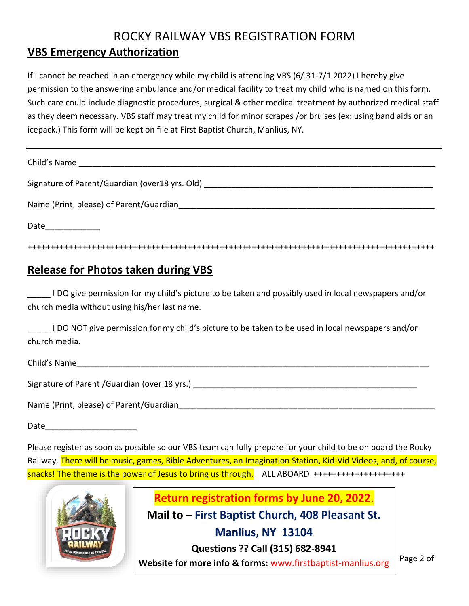#### ROCKY RAILWAY VBS REGISTRATION FORM

#### **VBS Emergency Authorization**

If I cannot be reached in an emergency while my child is attending VBS (6/ 31-7/1 2022) I hereby give permission to the answering ambulance and/or medical facility to treat my child who is named on this form. Such care could include diagnostic procedures, surgical & other medical treatment by authorized medical staff as they deem necessary. VBS staff may treat my child for minor scrapes /or bruises (ex: using band aids or an icepack.) This form will be kept on file at First Baptist Church, Manlius, NY.

| Child's Name                                   |
|------------------------------------------------|
| Signature of Parent/Guardian (over18 yrs. Old) |
| Name (Print, please) of Parent/Guardian        |
| Date                                           |
|                                                |

#### **Release for Photos taken during VBS**

\_\_\_\_\_ I DO give permission for my child's picture to be taken and possibly used in local newspapers and/or church media without using his/her last name.

\_\_\_\_\_ I DO NOT give permission for my child's picture to be taken to be used in local newspapers and/or church media.

Child's Name

Signature of Parent /Guardian (over 18 yrs.) \_\_\_\_\_\_\_\_\_\_\_\_\_\_\_\_\_\_\_\_\_\_\_\_\_\_\_\_\_\_\_\_\_\_\_

Name (Print, please) of Parent/Guardian\_\_\_\_\_\_\_\_\_\_\_\_\_\_\_\_\_\_\_\_\_\_\_\_\_\_\_\_\_\_\_\_\_\_\_\_\_\_\_\_\_\_\_\_\_\_\_\_\_\_\_\_\_\_\_\_

Date\_\_\_\_\_\_\_\_\_\_\_\_\_\_\_\_\_\_\_\_

Please register as soon as possible so our VBS team can fully prepare for your child to be on board the Rocky Railway. There will be music, games, Bible Adventures, an Imagination Station, Kid-Vid Videos, and, of course,  $s$ nacks! The theme is the power of Jesus to bring us through. ALL ABOARD  $************$ 



**Website for more info & forms:** [www.firstbaptist-manlius.org](http://www.firstbaptist-manlius.org/) Page 2 of **Return registration forms by June 20, 2022**. **Mail to** – **First Baptist Church, 408 Pleasant St. Manlius, NY 13104 Questions ?? Call (315) 682-8941**